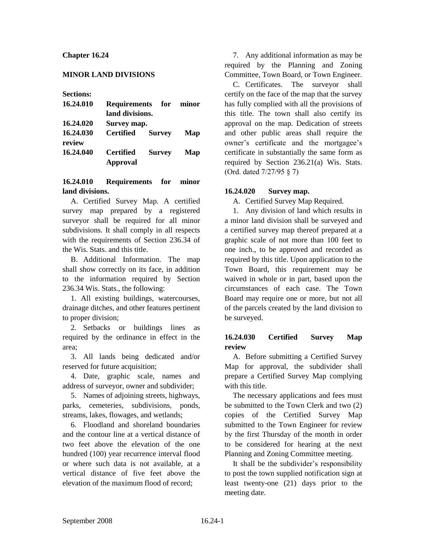## **Chapter 16.24**

### **MINOR LAND DIVISIONS**

**Sections:**

| 16.24.010 | Requirements for minor  |               |     |
|-----------|-------------------------|---------------|-----|
|           | land divisions.         |               |     |
| 16.24.020 | Survey map.             |               |     |
| 16.24.030 | <b>Certified Survey</b> |               | Map |
| review    |                         |               |     |
| 16.24.040 | Certified               | <b>Survey</b> | Map |
|           | <b>Approval</b>         |               |     |

## **16.24.010 Requirements for minor land divisions.**

A. Certified Survey Map. A certified survey map prepared by a registered surveyor shall be required for all minor subdivisions. It shall comply in all respects with the requirements of Section 236.34 of the Wis. Stats. and this title.

B. Additional Information. The map shall show correctly on its face, in addition to the information required by Section 236.34 Wis. Stats., the following:

1. All existing buildings, watercourses, drainage ditches, and other features pertinent to proper division;

2. Setbacks or buildings lines as required by the ordinance in effect in the area;

3. All lands being dedicated and/or reserved for future acquisition;

4. Date, graphic scale, names and address of surveyor, owner and subdivider;

5. Names of adjoining streets, highways, parks, cemeteries, subdivisions, ponds, streams, lakes, flowages, and wetlands;

6. Floodland and shoreland boundaries and the contour line at a vertical distance of two feet above the elevation of the one hundred (100) year recurrence interval flood or where such data is not available, at a vertical distance of five feet above the elevation of the maximum flood of record;

7. Any additional information as may be required by the Planning and Zoning Committee, Town Board, or Town Engineer.

C. Certificates. The surveyor shall certify on the face of the map that the survey has fully complied with all the provisions of this title. The town shall also certify its approval on the map. Dedication of streets and other public areas shall require the owner's certificate and the mortgagee's certificate in substantially the same form as required by Section 236.21(a) Wis. Stats. (Ord. dated 7/27/95 § 7)

#### **16.24.020 Survey map.**

A. Certified Survey Map Required.

1. Any division of land which results in a minor land division shall be surveyed and a certified survey map thereof prepared at a graphic scale of not more than 100 feet to one inch., to be approved and recorded as required by this title. Upon application to the Town Board, this requirement may be waived in whole or in part, based upon the circumstances of each case. The Town Board may require one or more, but not all of the parcels created by the land division to be surveyed.

# **16.24.030 Certified Survey Map review**

A. Before submitting a Certified Survey Map for approval, the subdivider shall prepare a Certified Survey Map complying with this title.

The necessary applications and fees must be submitted to the Town Clerk and two (2) copies of the Certified Survey Map submitted to the Town Engineer for review by the first Thursday of the month in order to be considered for hearing at the next Planning and Zoning Committee meeting.

It shall be the subdivider's responsibility to post the town supplied notification sign at least twenty-one (21) days prior to the meeting date.